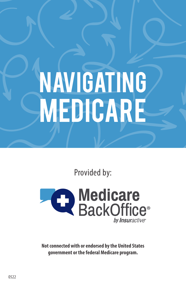# **NAVIGATING** Medicare

Provided by:



**Not connected with or endorsed by the United States government or the federal Medicare program.**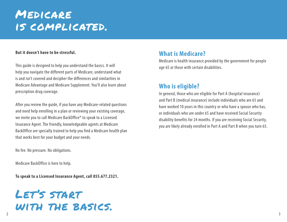# Medicare is complicated.

#### **But it doesn't have to be stressful.**

This guide is designed to help you understand the basics. It will help you navigate the different parts of Medicare, understand what is and isn't covered and decipher the differences and similarities in Medicare Advantage and Medicare Supplement. You'll also learn about prescription drug coverage.

After you review the guide, if you have any Medicare-related questions and need help enrolling in a plan or reviewing your existing coverage, we invite you to call Medicare BackOffice® to speak to a Licensed Insurance Agent. The friendly, knowledgeable agents at Medicare BackOffice are specially trained to help you find a Medicare health plan that works best for your budget and your needs.

No fee. No pressure. No obligations.

Medicare BackOffice is here to help.

**To speak to a Licensed Insurance Agent, call 855.677.2321.**

## 2 Let's start with the basics.

#### **What is Medicare?**

Medicare is health insurance provided by the government for people age 65 or those with certain disabilities.

#### **Who is eligible?**

In general, those who are eligible for Part A (hospital insurance) and Part B (medical insurance) include individuals who are 65 and have worked 10 years in this country or who have a spouse who has, or individuals who are under 65 and have received Social Security disability benefits for 24 months. If you are receiving Social Security, you are likely already enrolled in Part A and Part B when you turn 65.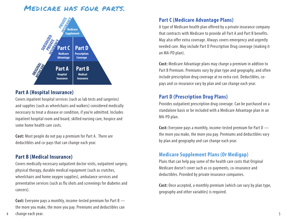#### Medicare has four parts.



#### **Part A (Hospital Insurance)**

Covers inpatient hospital services (such as lab tests and surgeries) and supplies (such as wheelchairs and walkers) considered medically necessary to treat a disease or condition, if you're admitted. Includes inpatient hospital room and board, skilled nursing care, hospice and some home health care costs.

**Cost:** Most people do not pay a premium for Part A. There are deductibles and co-pays that can change each year.

#### **Part B (Medical Insurance)**

Covers medically necessary outpatient doctor visits, outpatient surgery, physical therapy, durable medical equipment (such as crutches, wheelchairs and home oxygen supplies), ambulance services and preventative services (such as flu shots and screenings for diabetes and cancers).

**Cost:** Everyone pays a monthly, income-tested premium for Part B the more you make, the more you pay. Premiums and deductibles can

#### **Part C (Medicare Advantage Plans)**

A type of Medicare health plan offered by a private insurance company that contracts with Medicare to provide all Part A and Part B benefits. May also offer extra coverage. Always covers emergency and urgently needed care. May include Part D Prescription Drug coverage (making it an MA-PD plan).

**Cost:** Medicare Advantage plans may charge a premium in addtion to Part B Premium. Premiums vary by plan type and geography, and often include prescription drug coverage at no extra cost. Deductibles, copays and co-insurance vary by plan and can change each year.

#### **Part D (Prescription Drug Plans)**

Provides outpatient prescription drug coverage. Can be purchased on a standalone basis or be included with a Medicare Advantage plan in an MA-PD plan.

**Cost:** Everyone pays a monthly, income-tested premium for Part D the more you make, the more you pay. Premiums and deductibles vary by plan and geography and can change each year.

#### **Medicare Supplement Plans (Or Medigap)**

Plans that can help pay some of the health care costs that Original Medicare doesn't cover such as co-payments, co-insurance and deductibles. Provided by private insurance companies.

**Cost:** Once accepted, a monthly premium (which can vary by plan type, geography and other variables) is required.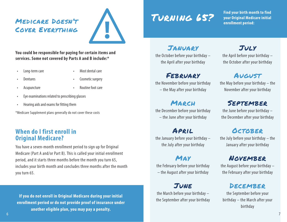### Medicare Doesn't Cover Everything



#### **You could be responsible for paying for certain items and services. Some not covered by Parts A and B include:\***

- 
- Long-term care Most dental care
- 
- **Dentures Cosmetic surgery**
- 
- Acupuncture Routine foot care
- Eye examinations related to prescribing glasses
- Hearing aids and exams for fitting them

\*Medicare Supplement plans generally do not cover these costs

#### **When do I first enroll in Original Medicare?**

You have a seven-month enrollment period to sign up for Original Medicare (Part A and/or Part B). This is called your initial enrollment period, and it starts three months before the month you turn 65, includes your birth month and concludes three months after the month you turn 65.

**If you do not enroll in Original Medicare during your initial enrollment period or do not provide proof of insurance under another eligible plan, you may pay a penalty.**

# Turning 65?

**Find your birth month to find your Original Medicare initial enrollment period:**

## January

the October before your birthday – the April after your birthday

## February

the November before your birthday – the May after your birthday

## March

the December before your birthday – the June after your birthday

#### April the January before your birthday –

the July after your birthday

## May

the February before your birthday – the August after your birthday

### June

the March before your birthday – the September after your birthday

## July

the April before your birthday – the October after your birthday

## August

the May before your birthday – the November after your birthday

## September

the June before your birthday – the December after your birthday

## **OCTOBER**

the July before your birthday – the January after your birthday

### November

the August before your birthday – the February after your birthday

#### DECEMBER

the September before your birthday – the March after your birthday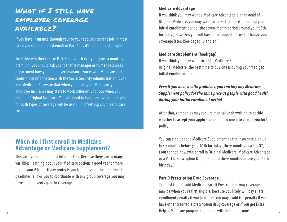## WHAT IF I STILL HAVE employer coverage available?

If you have insurance through your or your spouse's current job, in most cases you should at least enroll in Part A, as it's free for most people.

To decide whether to take Part B, for which everyone pays a monthly premium, you should ask your benefits manager or human resources department how your employer insurance works with Medicare and confirm this information with the Social Security Administration (SSA) and Medicare. Be aware that when you qualify for Medicare, your employer insurance may start to work differently for you when you enroll in Original Medicare. You will need to figure out whether paying for both types of coverage will be useful in offsetting your health care costs.

#### **When do I first enroll in Medicare Advantage or Medicare Supplement?**

This varies, depending on a lot of factors. Because there are so many variables, learning about your Medicare options a good year or more before your 65th birthday protects you from missing the enrollment deadlines, allows you to coordinate with any group coverage you may have and prevents gaps in coverage.

#### **Medicare Advantage**

If you think you may want a Medicare Advantage plan instead of Original Medicare, you may want to make that decision during your initial enrollment period (the seven-month period around your 65th birthday.) However, you will have other opportunities to change your coverage later. (See pages 16 and 17.)

#### **Medicare Supplement (Medigap)**

If you think you may want to add a Medicare Supplement plan to Original Medicare, the best time to buy one is during your Medigap initial enrollment period.

#### *Even if you have health problems, you can buy any Medicare Supplement policy for the same price as people with good health during your initial enrollment period*.

After that, companies may require medical underwriting to decide whether to accept your application and how much to charge you for the policy.

You can sign up for a Medicare Supplement health insurance plan up to six months before your 65th birthday (three months in WI or NY). (You cannot, however, enroll in Original Medicare, Medicare Advantage or a Part D Prescription Drug plan until three months before your 65th birthday.)

#### **Part D Prescription Drug Coverage**

8 a version of program for people with innice medicine. The best time to add Medicare Part D Prescription Drug coverage may be when you're first eligible, because you likely will pay a late enrollment penalty if you join later. You may avoid the penalty if you have other creditable prescription drug coverage or if you get Extra Help, a Medicare program for people with limited income.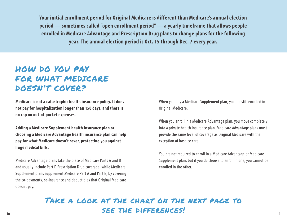**Your initial enrollment period for Original Medicare is different than Medicare's annual election period — sometimes called "open enrollment period" — a yearly timeframe that allows people enrolled in Medicare Advantage and Prescription Drug plans to change plans for the following year. The annual election period is Oct. 15 through Dec. 7 every year.** 

## HOW DO YOU PAY FOR WHAT MEDICARE DOESN'T COVER?

**Medicare is not a catastrophic health insurance policy. It does not pay for hospitalization longer than 150 days, and there is no cap on out-of-pocket expenses.**

**Adding a Medicare Supplement health insurance plan or choosing a Medicare Advantage health insurance plan can help pay for what Medicare doesn't cover, protecting you against huge medical bills.**

Medicare Advantage plans take the place of Medicare Parts A and B and usually include Part D Prescription Drug coverage, while Medicare Supplement plans supplement Medicare Part A and Part B, by covering the co-payments, co-insurance and deductibles that Original Medicare doesn't pay.

When you buy a Medicare Supplement plan, you are still enrolled in Original Medicare.

When you enroll in a Medicare Advantage plan, you move completely into a private health insurance plan. Medicare Advantage plans must provide the same level of coverage as Original Medicare with the exception of hospice care.

You are not required to enroll in a Medicare Advantage or Medicare Supplement plan, but if you do choose to enroll in one, you cannot be enrolled in the other.

#### $10$  11  $11$   $11$ Take a look at the chart on the next page to see the differences!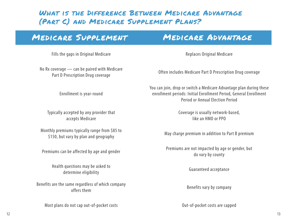## What is the Difference Between Medicare Advantage (Part C) and Medicare Supplement Plans?

## Medicare Supplement Medicare Advantage

Fills the gaps in Original Medicare **Replaces Original Medicare** Replaces Original Medicare

No Rx coverage — can be paired with Medicare

Enrollment is year-round

Typically accepted by any provider that accepts Medicare

Monthly premiums typically range from \$85 to this premiums typically range from 305 to<br>\$150, but vary by plan and geography and the May charge premium in addition to Part B premium

Health questions may be asked to determine eligibility determine eligibility

Benefits are the same regardless of which company offers them and company offers them by company offers them

Most plans do not cap out-of-pocket costs and the costs of the Capped Cut-of-pocket costs are capped

Part D Prescription Drug coverage Often includes Medicare Part D Prescription Drug coverage Part D Prescription Drug coverage

You can join, drop or switch a Medicare Advantage plan during these enrollment periods: Initial Enrollment Period, General Enrollment Period or Annual Election Period

> Coverage is usually network-based, like an HMO or PPO

Premiums can be affected by age and gender Premiums are not impacted by age or gender, but do vary by county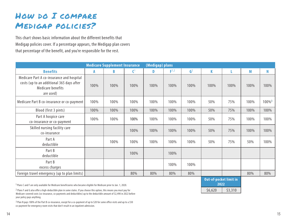## How do I compare Medigap policies?

This chart shows basic information about the different benefits that Medigap policies cover. If a percentage appears, the Medigap plan covers that percentage of the benefit, and you're responsible for the rest.

|                                                                                                                          | <b>Medicare Supplement Insurance</b> |      |                | (Medigap) plans |                  |                |      |      |      |                      |
|--------------------------------------------------------------------------------------------------------------------------|--------------------------------------|------|----------------|-----------------|------------------|----------------|------|------|------|----------------------|
| <b>Benefits</b>                                                                                                          | A                                    | B    | $\mathsf{C}^1$ | D               | F <sup>1,2</sup> | $\mathbf{G}^2$ | K    |      | M    | N                    |
| Medicare Part A co-insurance and hospital<br>costs (up to an additional 365 days after<br>Medicare benefits<br>are used) | 100%                                 | 100% | 100%           | 100%            | 100%             | 100%           | 100% | 100% | 100% | 100%                 |
| Medicare Part B co-insurance or co-payment                                                                               | 100%                                 | 100% | 100%           | 100%            | 100%             | 100%           | 50%  | 75%  | 100% | $100\%$ <sup>3</sup> |
| Blood (first 3 pints)                                                                                                    | 100%                                 | 100% | 100%           | 100%            | 100%             | 100%           | 50%  | 75%  | 100% | 100%                 |
| Part A hospice care<br>co-insurance or co-payment                                                                        | 100%                                 | 100% | 100%           | 100%            | 100%             | 100%           | 50%  | 75%  | 100% | 100%                 |
| Skilled nursing facility care<br>co-insurance                                                                            |                                      |      | 100%           | 100%            | 100%             | 100%           | 50%  | 75%  | 100% | 100%                 |
| Part A<br>deductible                                                                                                     |                                      | 100% | 100%           | 100%            | 100%             | 100%           | 50%  | 75%  | 50%  | 100%                 |
| Part B<br>deductible                                                                                                     |                                      |      | 100%           |                 | 100%             |                |      |      |      |                      |
| Part B<br>excess charges                                                                                                 |                                      |      |                |                 | 100%             | 100%           |      |      |      |                      |
| Foreign travel emergency (up to plan limits)                                                                             |                                      |      | 80%            | 80%             | 80%              | 80%            |      |      | 80%  | 80%                  |

1 Plans C and F are only available for Medicare beneficiaries who became eligible for Medicare prior to Jan. 1, 2020.

2 Plans F and G also offer a high-deductible plan in some states. If you choose this option, this means you must pay for Medicare-covered costs (co-insurance, co-payments and deductibles) up to the deductible amount of \$2,490 in 2022 before your policy pays anything.

3 Plan N pays 100% of the Part B co-insurance, except for a co-payment of up to \$20 for some office visits and up to a \$50 co-payment for emergency room visits that don't result in an inpatient admission.

**Out-of-pocket limit in 2022**  $$6,620$   $$3,310$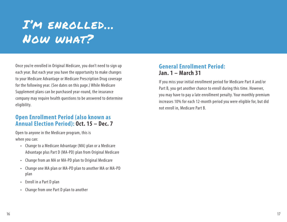# I'm enrolled... Now what?

Once you're enrolled in Original Medicare, you don't need to sign up each year. But each year you have the opportunity to make changes to your Medicare Advantage or Medicare Prescription Drug coverage for the following year. (See dates on this page.) While Medicare Supplement plans can be purchased year-round, the insurance company may require health questions to be answered to determine eligibility.

#### **Open Enrollment Period (also known as Annual Election Period): Oct. 15 – Dec. 7**

Open to anyone in the Medicare program, this is when you can:

- Change to a Medicare Advantage (MA) plan or a Medicare Advantage plus Part D (MA-PD) plan from Original Medicare
- Change from an MA or MA-PD plan to Original Medicare
- Change one MA plan or MA-PD plan to another MA or MA-PD plan
- Enroll in a Part D plan
- Change from one Part D plan to another

#### **General Enrollment Period: Jan. 1 – March 31**

If you miss your initial enrollment period for Medicare Part A and/or Part B, you get another chance to enroll during this time. However, you may have to pay a late enrollment penalty. Your monthly premium increases 10% for each 12-month period you were eligible for, but did not enroll in, Medicare Part B.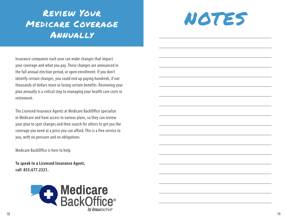## Review Your Medicare Coverage Annually



Insurance companies each year can make changes that impact your coverage and what you pay. These changes are announced in the fall annual election period, or open enrollment. If you don't identify certain changes, you could end up paying hundreds, if not thousands of dollars more or losing certain benefits. Reviewing your plan annually is a critical step to managing your health care costs in retirement.

The Licensed Insurance Agents at Medicare BackOffice specialize in Medicare and have access to various plans, so they can review your plan to spot changes and then search for others to get you the coverage you need at a price you can afford. This is a free service to you, with no pressure and no obligations.

Medicare BackOffice is here to help.

**To speak to a Licensed Insurance Agent, call 855.677.2321.**